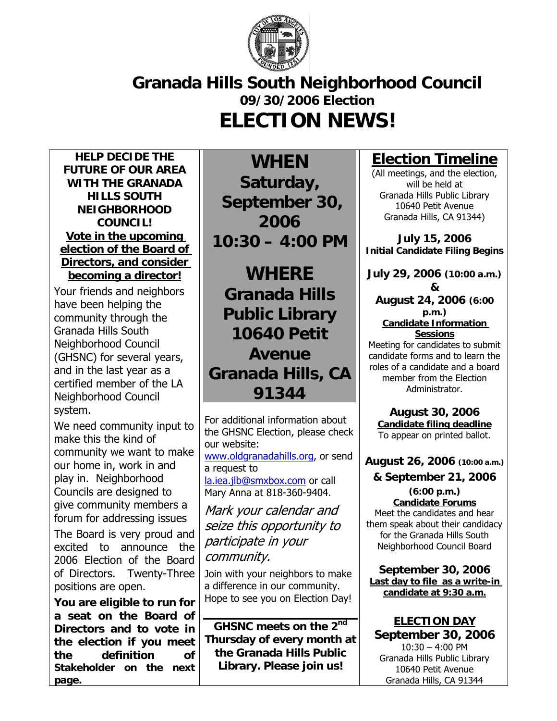

## **Granada Hills South Neighborhood Council 09/30/2006 Election ELECTION NEWS!**

**HELP DECIDE THE FUTURE OF OUR AREA WITH THE GRANADA HILLS SOUTH NEIGHBORHOOD COUNCIL! Vote in the upcoming election of the Board of Directors, and consider becoming a director!**

Your friends and neighbors have been helping the community through the Granada Hills South Neighborhood Council (GHSNC) for several years, and in the last year as a certified member of the LA Neighborhood Council system.

We need community input to make this the kind of community we want to make our home in, work in and play in. Neighborhood Councils are designed to give community members a forum for addressing issues The Board is very proud and excited to announce the 2006 Election of the Board

of Directors. Twenty-Three positions are open.

**You are eligible to run for a seat on the Board of Directors and to vote in the election if you meet the definition of Stakeholder on the next page.**

**WHEN Saturday, September 30, 2006 10:30 – 4:00 PM** 

**WHERE Granada Hills Public Library 10640 Petit Avenue Granada Hills, CA 91344** 

For additional information about the GHSNC Election, please check our website:

www.oldgranadahills.org, or send a request to la.iea.jlb@smxbox.com or call Mary Anna at 818-360-9404.

Mark your calendar and seize this opportunity to participate in your community.

Join with your neighbors to make a difference in our community. Hope to see you on Election Day!

**GHSNC meets on the 2nd Thursday of every month at the Granada Hills Public Library. Please join us!** 

### **Election Timeline**

(All meetings, and the election, will be held at Granada Hills Public Library 10640 Petit Avenue Granada Hills, CA 91344)

**July 15, 2006 Initial Candidate Filing Begins**

**July 29, 2006 (10:00 a.m.)**

**& August 24, 2006 (6:00 p.m.) Candidate Information Sessions**

Meeting for candidates to submit candidate forms and to learn the roles of a candidate and a board member from the Election Administrator.

**August 30, 2006 Candidate filing deadline** To appear on printed ballot.

**August 26, 2006 (10:00 a.m.)**

**& September 21, 2006** 

**(6:00 p.m.) Candidate Forums** Meet the candidates and hear them speak about their candidacy for the Granada Hills South Neighborhood Council Board

**September 30, 2006 Last day to file as a write-in candidate at 9:30 a.m.**

**ELECTION DAY September 30, 2006**   $10:30 - 4:00$  PM Granada Hills Public Library 10640 Petit Avenue Granada Hills, CA 91344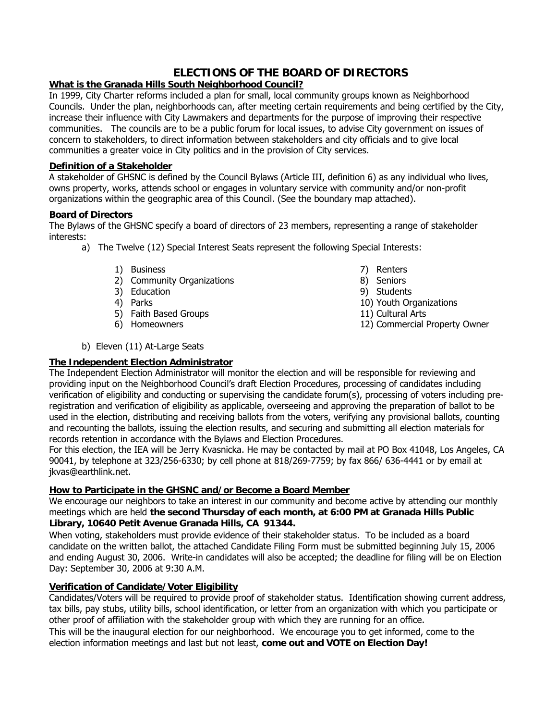#### **ELECTIONS OF THE BOARD OF DIRECTORS**

#### **What is the Granada Hills South Neighborhood Council?**

In 1999, City Charter reforms included a plan for small, local community groups known as Neighborhood Councils. Under the plan, neighborhoods can, after meeting certain requirements and being certified by the City, increase their influence with City Lawmakers and departments for the purpose of improving their respective communities. The councils are to be a public forum for local issues, to advise City government on issues of concern to stakeholders, to direct information between stakeholders and city officials and to give local communities a greater voice in City politics and in the provision of City services.

#### **Definition of a Stakeholder**

A stakeholder of GHSNC is defined by the Council Bylaws (Article III, definition 6) as any individual who lives, owns property, works, attends school or engages in voluntary service with community and/or non-profit organizations within the geographic area of this Council. (See the boundary map attached).

#### **Board of Directors**

The Bylaws of the GHSNC specify a board of directors of 23 members, representing a range of stakeholder interests:

- a) The Twelve (12) Special Interest Seats represent the following Special Interests:
	- 1) Business
	- 2) Community Organizations
	- 3) Education
	- 4) Parks
	- 5) Faith Based Groups
	- 6) Homeowners
- b) Eleven (11) At-Large Seats

#### **The Independent Election Administrator**

The Independent Election Administrator will monitor the election and will be responsible for reviewing and providing input on the Neighborhood Council's draft Election Procedures, processing of candidates including verification of eligibility and conducting or supervising the candidate forum(s), processing of voters including preregistration and verification of eligibility as applicable, overseeing and approving the preparation of ballot to be used in the election, distributing and receiving ballots from the voters, verifying any provisional ballots, counting and recounting the ballots, issuing the election results, and securing and submitting all election materials for records retention in accordance with the Bylaws and Election Procedures.

For this election, the IEA will be Jerry Kvasnicka. He may be contacted by mail at PO Box 41048, Los Angeles, CA 90041, by telephone at 323/256-6330; by cell phone at 818/269-7759; by fax 866/ 636-4441 or by email at jkvas@earthlink.net.

#### **How to Participate in the GHSNC and/or Become a Board Member**

We encourage our neighbors to take an interest in our community and become active by attending our monthly meetings which are held **the second Thursday of each month, at 6:00 PM at Granada Hills Public Library, 10640 Petit Avenue Granada Hills, CA 91344.** 

When voting, stakeholders must provide evidence of their stakeholder status. To be included as a board candidate on the written ballot, the attached Candidate Filing Form must be submitted beginning July 15, 2006 and ending August 30, 2006. Write-in candidates will also be accepted; the deadline for filing will be on Election Day: September 30, 2006 at 9:30 A.M.

#### **Verification of Candidate/Voter Eligibility**

Candidates/Voters will be required to provide proof of stakeholder status. Identification showing current address, tax bills, pay stubs, utility bills, school identification, or letter from an organization with which you participate or other proof of affiliation with the stakeholder group with which they are running for an office.

This will be the inaugural election for our neighborhood. We encourage you to get informed, come to the election information meetings and last but not least, **come out and VOTE on Election Day!** 

- 7) Renters
- 8) Seniors
- 9) Students
- 10) Youth Organizations
- 11) Cultural Arts
- 12) Commercial Property Owner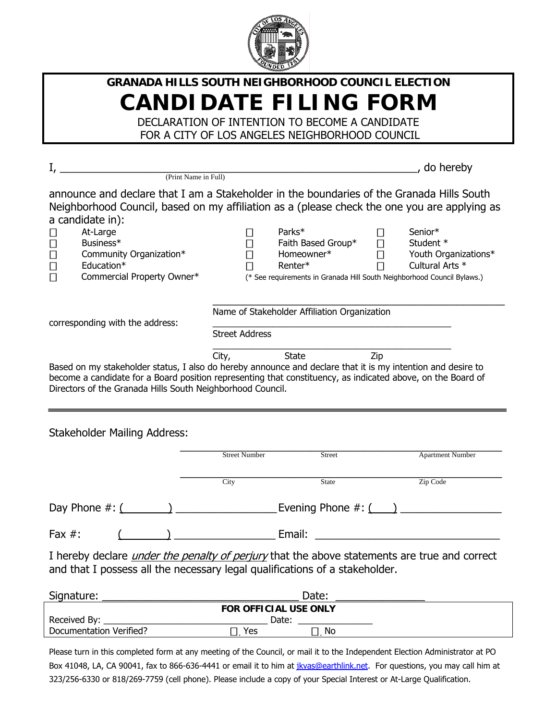

## **GRANADA HILLS SOUTH NEIGHBORHOOD COUNCIL ELECTION CANDIDATE FILING FORM**

DECLARATION OF INTENTION TO BECOME A CANDIDATE FOR A CITY OF LOS ANGELES NEIGHBORHOOD COUNCIL

|                                                                                                                                                                                                                                                                                          |                                                                         |                                              |                 | , do hereby          |
|------------------------------------------------------------------------------------------------------------------------------------------------------------------------------------------------------------------------------------------------------------------------------------------|-------------------------------------------------------------------------|----------------------------------------------|-----------------|----------------------|
| (Print Name in Full)                                                                                                                                                                                                                                                                     |                                                                         |                                              |                 |                      |
| announce and declare that I am a Stakeholder in the boundaries of the Granada Hills South<br>Neighborhood Council, based on my affiliation as a (please check the one you are applying as<br>a candidate in):                                                                            |                                                                         |                                              |                 |                      |
| At-Large                                                                                                                                                                                                                                                                                 |                                                                         | Parks*                                       | Senior*         |                      |
| Business*                                                                                                                                                                                                                                                                                |                                                                         | Faith Based Group*                           | Student $*$     |                      |
| Community Organization*                                                                                                                                                                                                                                                                  |                                                                         | Homeowner*                                   |                 | Youth Organizations* |
| Education*                                                                                                                                                                                                                                                                               |                                                                         | Renter*                                      | Cultural Arts * |                      |
| Commercial Property Owner*                                                                                                                                                                                                                                                               | (* See requirements in Granada Hill South Neighborhood Council Bylaws.) |                                              |                 |                      |
| corresponding with the address:                                                                                                                                                                                                                                                          | <b>Street Address</b>                                                   | Name of Stakeholder Affiliation Organization |                 |                      |
|                                                                                                                                                                                                                                                                                          | City,                                                                   | State                                        | Zip             |                      |
| Based on my stakeholder status, I also do hereby announce and declare that it is my intention and desire to<br>become a candidate for a Board position representing that constituency, as indicated above, on the Board of<br>Directors of the Granada Hills South Neighborhood Council. |                                                                         |                                              |                 |                      |
| <b>Stakeholder Mailing Address:</b>                                                                                                                                                                                                                                                      |                                                                         |                                              |                 |                      |

|           |  | <b>Street Number</b>                                                        | <b>Street</b> | <b>Apartment Number</b>                                                                             |
|-----------|--|-----------------------------------------------------------------------------|---------------|-----------------------------------------------------------------------------------------------------|
|           |  |                                                                             |               |                                                                                                     |
|           |  | City                                                                        | State         | Zip Code                                                                                            |
|           |  |                                                                             |               | Evening Phone $\#$ : $($                                                                            |
| Fax $#$ : |  |                                                                             | Email:        |                                                                                                     |
|           |  | and that I possess all the necessary legal qualifications of a stakeholder. |               | I hereby declare <i>under the penalty of perjury</i> that the above statements are true and correct |

| Signature:                   |       | Date: |  |
|------------------------------|-------|-------|--|
| <b>FOR OFFICIAL USE ONLY</b> |       |       |  |
| Received By:                 | Date: |       |  |
| Documentation Verified?      | Yes   | No    |  |

Please turn in this completed form at any meeting of the Council, or mail it to the Independent Election Administrator at PO Box 41048, LA, CA 90041, fax to 866-636-4441 or email it to him at *jkvas@earthlink.net*. For questions, you may call him at 323/256-6330 or 818/269-7759 (cell phone). Please include a copy of your Special Interest or At-Large Qualification.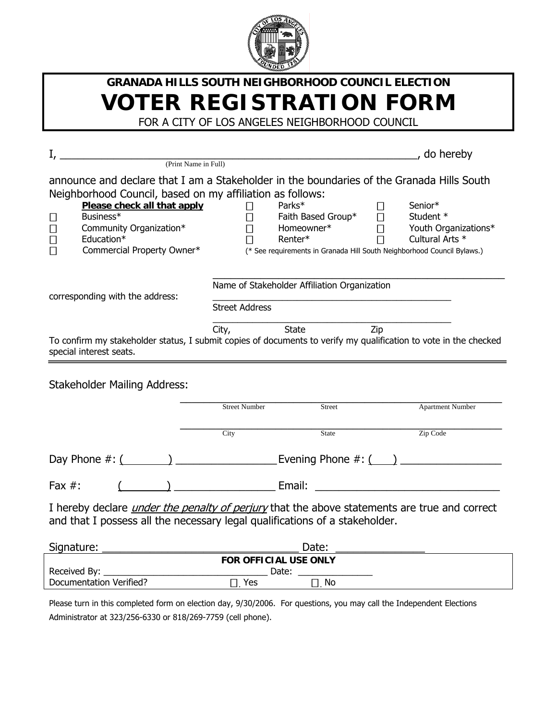

# **GRANADA HILLS SOUTH NEIGHBORHOOD COUNCIL ELECTION VOTER REGISTRATION FORM**

FOR A CITY OF LOS ANGELES NEIGHBORHOOD COUNCIL

| $I_{\ell}$                                                                                                       |                              |                                              | do hereby                                                               |
|------------------------------------------------------------------------------------------------------------------|------------------------------|----------------------------------------------|-------------------------------------------------------------------------|
| (Print Name in Full)                                                                                             |                              |                                              |                                                                         |
| announce and declare that I am a Stakeholder in the boundaries of the Granada Hills South                        |                              |                                              |                                                                         |
| Neighborhood Council, based on my affiliation as follows:                                                        |                              |                                              |                                                                         |
| Please check all that apply                                                                                      |                              | Parks*                                       | Senior*                                                                 |
| Business*                                                                                                        |                              | Faith Based Group*                           | Student *                                                               |
| Community Organization*                                                                                          |                              | Homeowner*                                   | Youth Organizations*                                                    |
| Education*                                                                                                       | Renter*                      |                                              | Cultural Arts *                                                         |
| Commercial Property Owner*                                                                                       |                              |                                              | (* See requirements in Granada Hill South Neighborhood Council Bylaws.) |
|                                                                                                                  |                              | Name of Stakeholder Affiliation Organization |                                                                         |
| corresponding with the address:                                                                                  |                              |                                              |                                                                         |
|                                                                                                                  | <b>Street Address</b>        |                                              |                                                                         |
|                                                                                                                  | City,                        | State<br>Zip                                 |                                                                         |
| To confirm my stakeholder status, I submit copies of documents to verify my qualification to vote in the checked |                              |                                              |                                                                         |
| special interest seats.                                                                                          |                              |                                              |                                                                         |
| <b>Stakeholder Mailing Address:</b>                                                                              |                              |                                              |                                                                         |
|                                                                                                                  | <b>Street Number</b>         | Street                                       | <b>Apartment Number</b>                                                 |
|                                                                                                                  | $\overline{City}$            | State                                        | Zip Code                                                                |
|                                                                                                                  |                              |                                              |                                                                         |
| Fax $#$ :                                                                                                        | $\rightarrow$ Email:         |                                              |                                                                         |
|                                                                                                                  |                              |                                              |                                                                         |
| I hereby declare <i>under the penalty of perjury</i> that the above statements are true and correct              |                              |                                              |                                                                         |
| and that I possess all the necessary legal qualifications of a stakeholder.                                      |                              |                                              |                                                                         |
| Signature:                                                                                                       |                              | Date:                                        |                                                                         |
|                                                                                                                  | <b>FOR OFFICIAL USE ONLY</b> |                                              |                                                                         |
|                                                                                                                  | Date:                        |                                              |                                                                         |
| <b>Documentation Verified?</b>                                                                                   | Yes                          | <b>No</b>                                    |                                                                         |

Please turn in this completed form on election day, 9/30/2006. For questions, you may call the Independent Elections Administrator at 323/256-6330 or 818/269-7759 (cell phone).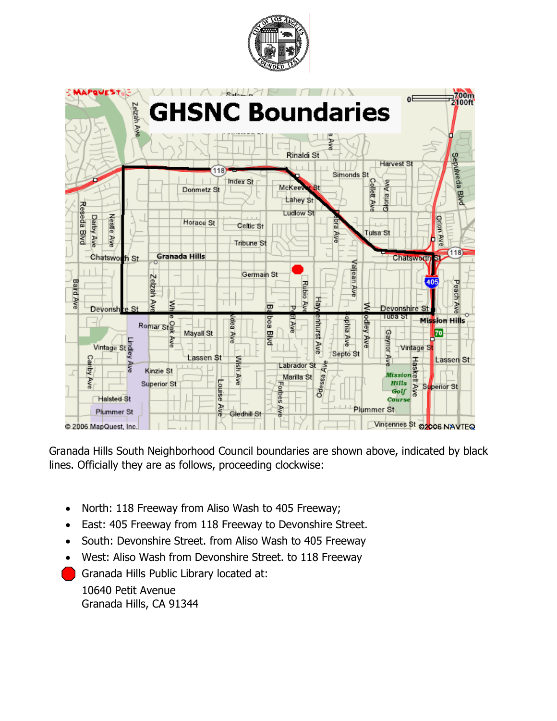



Granada Hills South Neighborhood Council boundaries are shown above, indicated by black lines. Officially they are as follows, proceeding clockwise:

- North: 118 Freeway from Aliso Wash to 405 Freeway;
- East: 405 Freeway from 118 Freeway to Devonshire Street.
- South: Devonshire Street. from Aliso Wash to 405 Freeway
- West: Aliso Wash from Devonshire Street. to 118 Freeway
- Granada Hills Public Library located at: 10640 Petit Avenue Granada Hills, CA 91344